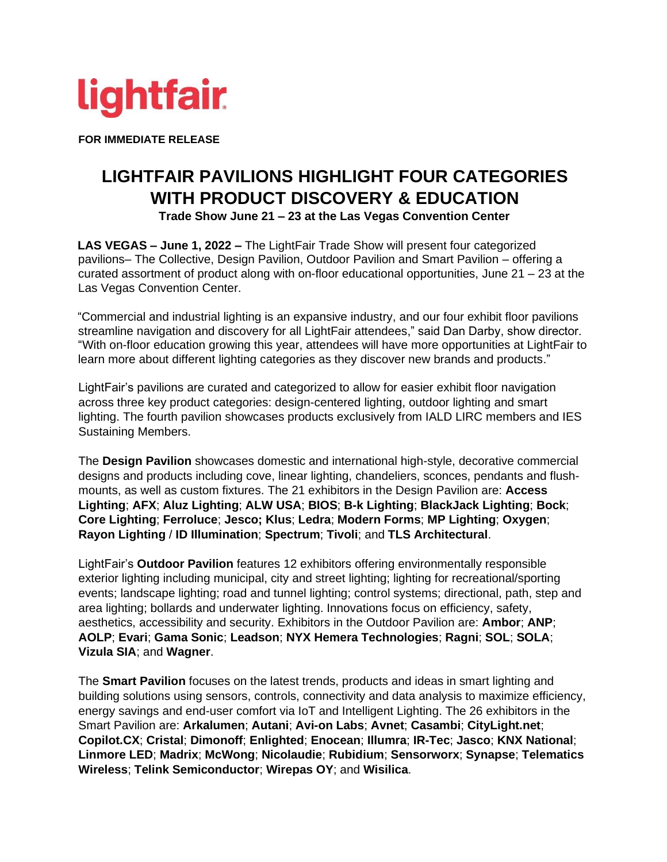

**FOR IMMEDIATE RELEASE** 

## **LIGHTFAIR PAVILIONS HIGHLIGHT FOUR CATEGORIES WITH PRODUCT DISCOVERY & EDUCATION Trade Show June 21 – 23 at the Las Vegas Convention Center**

**LAS VEGAS – June 1, 2022 –** The LightFair Trade Show will present four categorized pavilions– The Collective, Design Pavilion, Outdoor Pavilion and Smart Pavilion – offering a curated assortment of product along with on-floor educational opportunities, June 21 – 23 at the Las Vegas Convention Center.

"Commercial and industrial lighting is an expansive industry, and our four exhibit floor pavilions streamline navigation and discovery for all LightFair attendees," said Dan Darby, show director. "With on-floor education growing this year, attendees will have more opportunities at LightFair to learn more about different lighting categories as they discover new brands and products."

LightFair's pavilions are curated and categorized to allow for easier exhibit floor navigation across three key product categories: design-centered lighting, outdoor lighting and smart lighting. The fourth pavilion showcases products exclusively from IALD LIRC members and IES Sustaining Members.

The **Design Pavilion** showcases domestic and international high-style, decorative commercial designs and products including cove, linear lighting, chandeliers, sconces, pendants and flushmounts, as well as custom fixtures. The 21 exhibitors in the Design Pavilion are: **Access Lighting**; **AFX**; **Aluz Lighting**; **ALW USA**; **BIOS**; **B-k Lighting**; **BlackJack Lighting**; **Bock**; **Core Lighting**; **Ferroluce**; **Jesco; Klus**; **Ledra**; **Modern Forms**; **MP Lighting**; **Oxygen**; **Rayon Lighting** / **ID Illumination**; **Spectrum**; **Tivoli**; and **TLS Architectural**.

LightFair's **Outdoor Pavilion** features 12 exhibitors offering environmentally responsible exterior lighting including municipal, city and street lighting; lighting for recreational/sporting events; landscape lighting; road and tunnel lighting; control systems; directional, path, step and area lighting; bollards and underwater lighting. Innovations focus on efficiency, safety, aesthetics, accessibility and security. Exhibitors in the Outdoor Pavilion are: **Ambor**; **ANP**; **AOLP**; **Evari**; **Gama Sonic**; **Leadson**; **NYX Hemera Technologies**; **Ragni**; **SOL**; **SOLA**; **Vizula SIA**; and **Wagner**.

The **Smart Pavilion** focuses on the latest trends, products and ideas in smart lighting and building solutions using sensors, controls, connectivity and data analysis to maximize efficiency, energy savings and end-user comfort via IoT and Intelligent Lighting. The 26 exhibitors in the Smart Pavilion are: **Arkalumen**; **Autani**; **Avi-on Labs**; **Avnet**; **Casambi**; **CityLight.net**; **Copilot.CX**; **Cristal**; **Dimonoff**; **Enlighted**; **Enocean**; **Illumra**; **IR-Tec**; **Jasco**; **KNX National**; **Linmore LED**; **Madrix**; **McWong**; **Nicolaudie**; **Rubidium**; **Sensorworx**; **Synapse**; **Telematics Wireless**; **Telink Semiconductor**; **Wirepas OY**; and **Wisilica**.